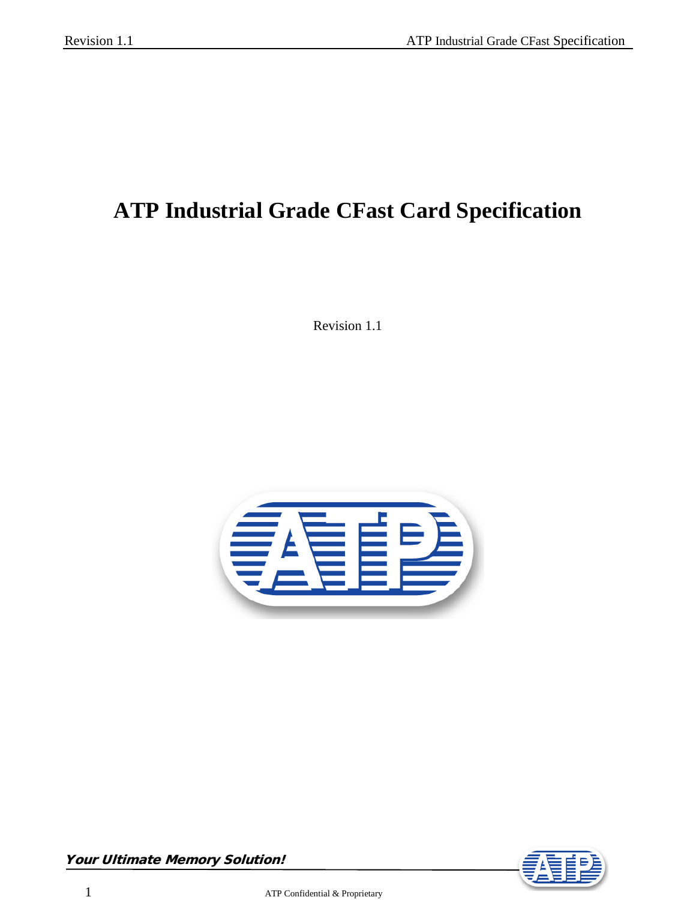# **ATP Industrial Grade CFast Card Specification**

Revision 1.1



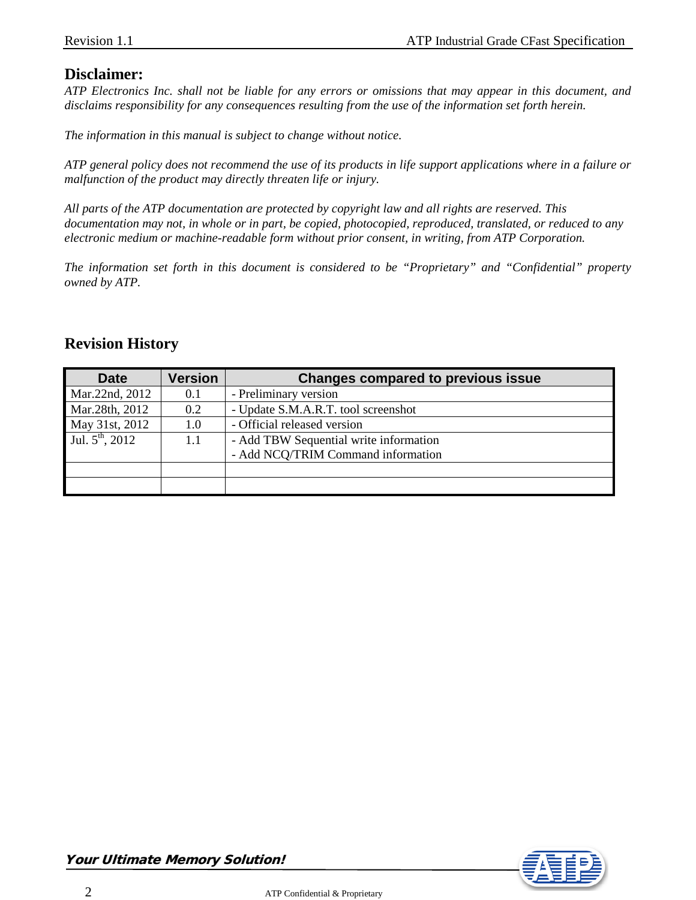#### **Disclaimer:**

*ATP Electronics Inc. shall not be liable for any errors or omissions that may appear in this document, and disclaims responsibility for any consequences resulting from the use of the information set forth herein.*

*The information in this manual is subject to change without notice.*

*ATP general policy does not recommend the use of its products in life support applications where in a failure or malfunction of the product may directly threaten life or injury.*

*All parts of the ATP documentation are protected by copyright law and all rights are reserved. This documentation may not, in whole or in part, be copied, photocopied, reproduced, translated, or reduced to any electronic medium or machine-readable form without prior consent, in writing, from ATP Corporation.*

*The information set forth in this document is considered to be "Proprietary" and "Confidential" property owned by ATP.*

#### **Revision History**

| <b>Date</b>                 | <b>Version</b> | <b>Changes compared to previous issue</b> |  |  |
|-----------------------------|----------------|-------------------------------------------|--|--|
| Mar.22nd, 2012              | 0.1            | - Preliminary version                     |  |  |
| Mar.28th, 2012              | 0.2            | - Update S.M.A.R.T. tool screenshot       |  |  |
| May 31st, 2012              | $1.0\,$        | - Official released version               |  |  |
| Jul. $5^{\text{th}}$ , 2012 | 1.1            | - Add TBW Sequential write information    |  |  |
|                             |                | - Add NCQ/TRIM Command information        |  |  |
|                             |                |                                           |  |  |
|                             |                |                                           |  |  |

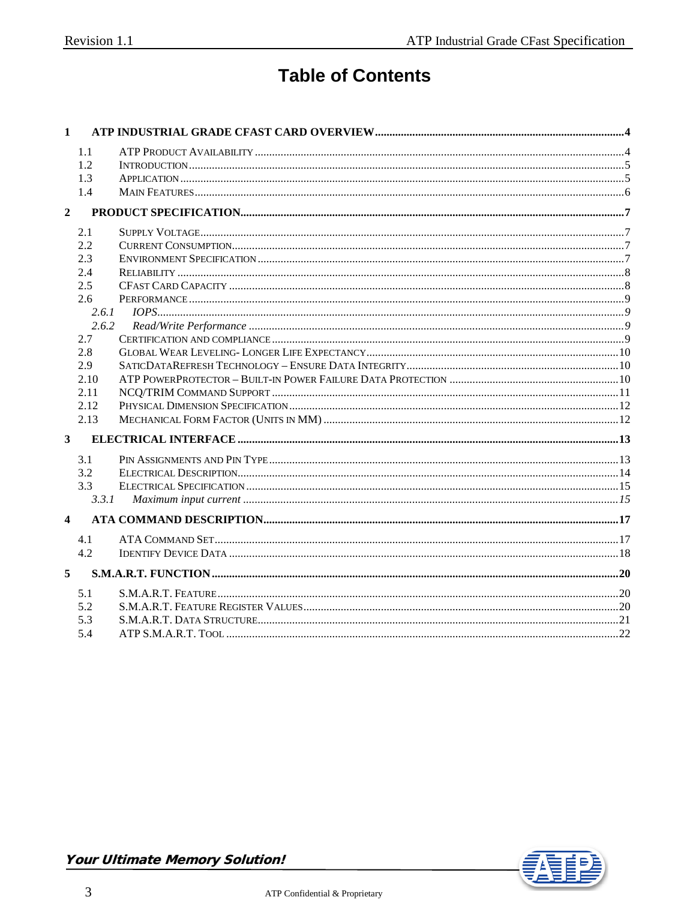# **Table of Contents**

| $\mathbf{1}$            |            |  |
|-------------------------|------------|--|
|                         | 1.1        |  |
|                         | 1.2        |  |
|                         | 1.3        |  |
|                         | 1.4        |  |
| $\overline{2}$          |            |  |
|                         | 2.1        |  |
|                         | 2.2        |  |
|                         | 2.3        |  |
|                         | 2.4        |  |
|                         | 2.5        |  |
|                         | 2.6        |  |
|                         | 2.6.1      |  |
|                         | 2.6.2      |  |
|                         | 2.7        |  |
|                         | 2.8<br>2.9 |  |
|                         | 2.10       |  |
|                         | 2.11       |  |
|                         | 2.12       |  |
|                         | 2.13       |  |
| $\overline{\mathbf{3}}$ |            |  |
|                         | 3.1        |  |
|                         | 3.2        |  |
|                         | 3.3        |  |
|                         | 3.3.1      |  |
| $\overline{\mathbf{4}}$ |            |  |
|                         |            |  |
|                         | 4.1        |  |
|                         | 4.2        |  |
| 5                       |            |  |
|                         | 5.1        |  |
|                         | 5.2        |  |
|                         | 5.3        |  |
|                         | 5.4        |  |

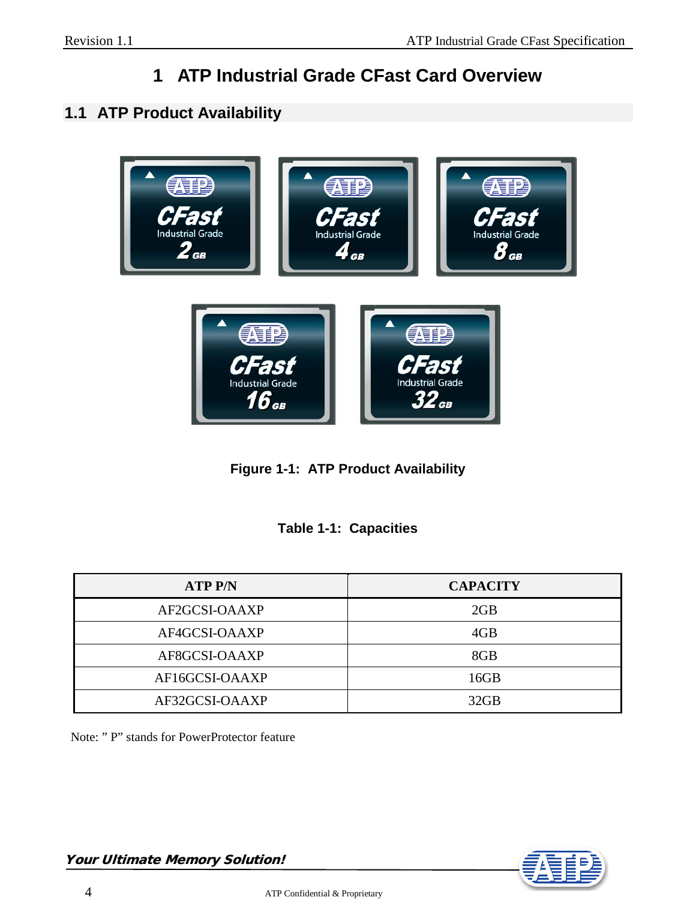# **1 ATP Industrial Grade CFast Card Overview**

# <span id="page-3-1"></span><span id="page-3-0"></span>**1.1 ATP Product Availability**



**Figure 1-1: ATP Product Availability**

|  | <b>Table 1-1: Capacities</b> |
|--|------------------------------|
|--|------------------------------|

| <b>ATP P/N</b> | <b>CAPACITY</b> |
|----------------|-----------------|
| AF2GCSI-OAAXP  | 2GB             |
| AF4GCSI-OAAXP  | 4GB             |
| AF8GCSI-OAAXP  | 8GB             |
| AF16GCSI-OAAXP | 16GB            |
| AF32GCSI-OAAXP | 32GB            |

Note: " P" stands for PowerProtector feature

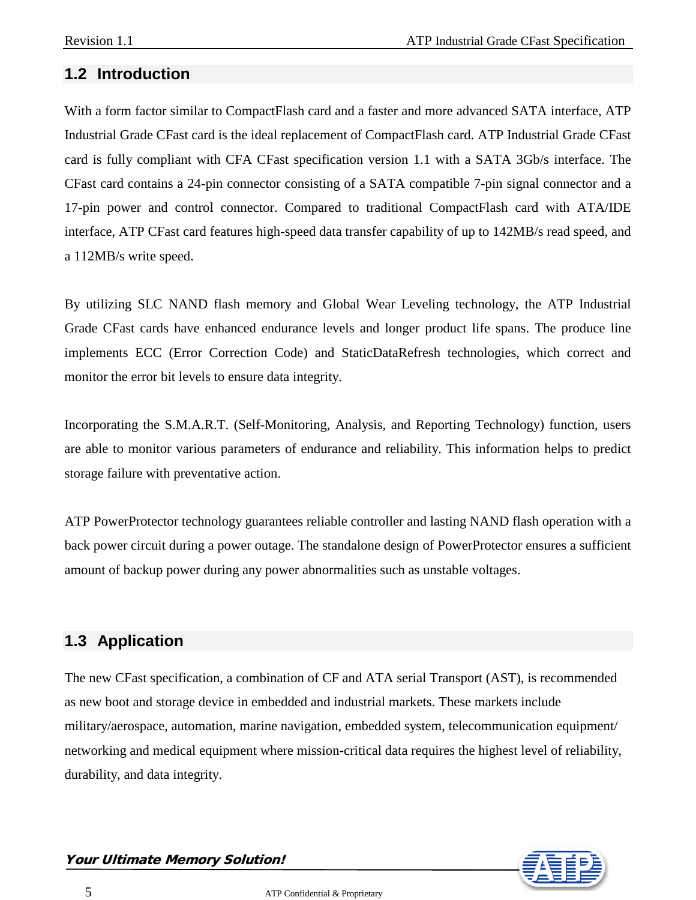#### <span id="page-4-0"></span>**1.2 Introduction**

With a form factor similar to CompactFlash card and a faster and more advanced SATA interface, ATP Industrial Grade CFast card is the ideal replacement of CompactFlash card. ATP Industrial Grade CFast card is fully compliant with CFA CFast specification version 1.1 with a SATA 3Gb/s interface. The CFast card contains a 24-pin connector consisting of a SATA compatible 7-pin signal connector and a 17-pin power and control connector. Compared to traditional CompactFlash card with ATA/IDE interface, ATP CFast card features high-speed data transfer capability of up to 142MB/s read speed, and a 112MB/s write speed.

By utilizing SLC NAND flash memory and Global Wear Leveling technology, the ATP Industrial Grade CFast cards have enhanced endurance levels and longer product life spans. The produce line implements ECC (Error Correction Code) and StaticDataRefresh technologies, which correct and monitor the error bit levels to ensure data integrity.

Incorporating the S.M.A.R.T. (Self-Monitoring, Analysis, and Reporting Technology) function, users are able to monitor various parameters of endurance and reliability. This information helps to predict storage failure with preventative action.

ATP PowerProtector technology guarantees reliable controller and lasting NAND flash operation with a back power circuit during a power outage. The standalone design of PowerProtector ensures a sufficient amount of backup power during any power abnormalities such as unstable voltages.

# <span id="page-4-1"></span>**1.3 Application**

The new CFast specification, a combination of CF and ATA serial Transport (AST), is recommended as new boot and storage device in embedded and industrial markets. These markets include military/aerospace, automation, marine navigation, embedded system, telecommunication equipment/ networking and medical equipment where mission-critical data requires the highest level of reliability, durability, and data integrity.



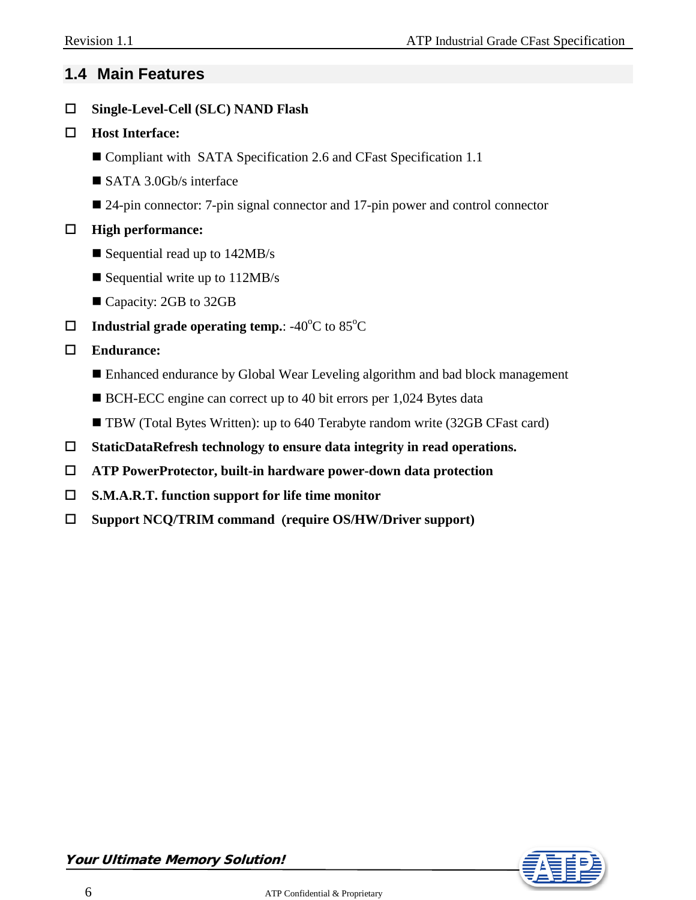# <span id="page-5-0"></span>**1.4 Main Features**

**Single-Level-Cell (SLC) NAND Flash**

#### **Host Interface:**

- Compliant with SATA Specification 2.6 and CFast Specification 1.1
- SATA 3.0Gb/s interface
- 24-pin connector: 7-pin signal connector and 17-pin power and control connector

#### **High performance:**

- Sequential read up to  $142MB/s$
- Sequential write up to  $112MB/s$
- Capacity: 2GB to 32GB
- $\Box$  Industrial grade operating temp.: -40 $\rm ^{o}C$  to 85 $\rm ^{o}C$

#### **Endurance:**

- Enhanced endurance by Global Wear Leveling algorithm and bad block management
- BCH-ECC engine can correct up to 40 bit errors per 1,024 Bytes data
- TBW (Total Bytes Written): up to 640 Terabyte random write (32GB CFast card)
- **StaticDataRefresh technology to ensure data integrity in read operations.**
- **ATP PowerProtector, built-in hardware power-down data protection**
- **S.M.A.R.T. function support for life time monitor**
- **Support NCQ/TRIM command** (**require OS/HW/Driver support)**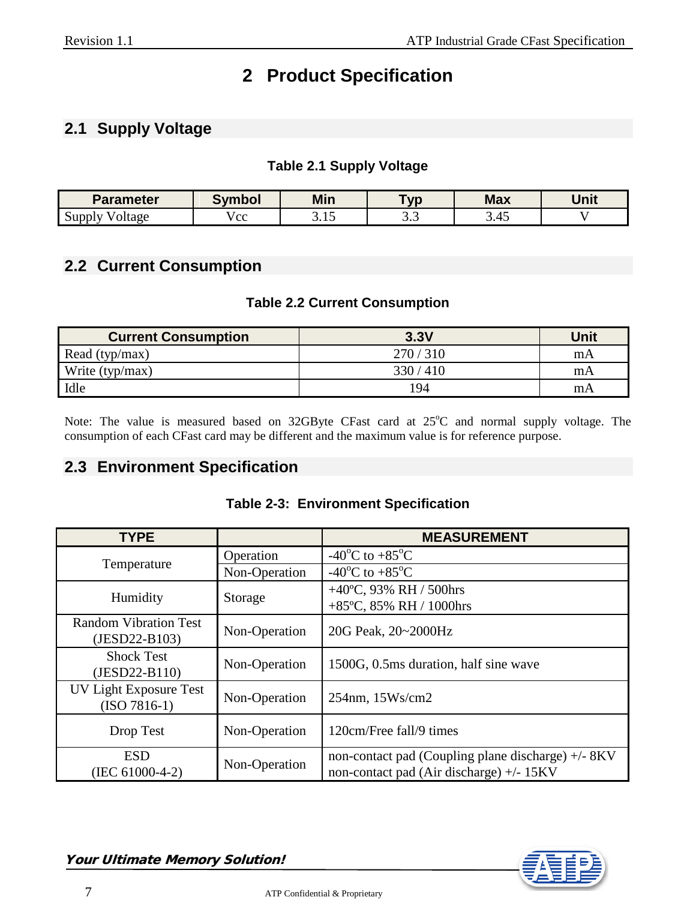# **2 Product Specification**

# <span id="page-6-1"></span><span id="page-6-0"></span>**2.1 Supply Voltage**

#### **Table 2.1 Supply Voltage**

| Parameter                | <b>Symbol</b> | Min | ⊺vn  | <b>Max</b>             | <b>Unit</b> |
|--------------------------|---------------|-----|------|------------------------|-------------|
| $\Delta$ upply<br>oltage | م م<br>w      | .   | ن. ب | $\overline{ }$<br>J.HJ |             |

# <span id="page-6-2"></span>**2.2 Current Consumption**

#### **Table 2.2 Current Consumption**

| <b>Current Consumption</b> | 3.3V    | Unit |
|----------------------------|---------|------|
| Read (typ/max)             | 270/310 | mA   |
| Write $(typ/max)$          | 330/410 | mA   |
| Idle                       | 194     | mA   |

Note: The value is measured based on  $32GB$ yte CFast card at  $25^{\circ}$ C and normal supply voltage. The consumption of each CFast card may be different and the maximum value is for reference purpose.

#### <span id="page-6-3"></span>**2.3 Environment Specification**

|  | <b>Table 2-3: Environment Specification</b> |  |
|--|---------------------------------------------|--|
|--|---------------------------------------------|--|

| <b>TYPE</b>                                     |               | <b>MEASUREMENT</b>                                                                             |
|-------------------------------------------------|---------------|------------------------------------------------------------------------------------------------|
|                                                 | Operation     | -40 <sup>o</sup> C to +85 <sup>o</sup> C                                                       |
| Temperature                                     | Non-Operation | -40 <sup>o</sup> C to +85 <sup>o</sup> C                                                       |
| Humidity                                        | Storage       | +40°C, 93% RH / 500hrs<br>+85°C, 85% RH / 1000hrs                                              |
| <b>Random Vibration Test</b><br>$(JESD22-B103)$ | Non-Operation | 20G Peak, 20~2000Hz                                                                            |
| <b>Shock Test</b><br>$(JESD22-B110)$            | Non-Operation | 1500G, 0.5ms duration, half sine wave                                                          |
| UV Light Exposure Test<br>$(ISO 7816-1)$        | Non-Operation | $254nm$ , $15Ws/cm2$                                                                           |
| Drop Test                                       | Non-Operation | 120cm/Free fall/9 times                                                                        |
| <b>ESD</b><br>$(IEC 61000-4-2)$                 | Non-Operation | non-contact pad (Coupling plane discharge) +/- 8KV<br>non-contact pad (Air discharge) +/- 15KV |



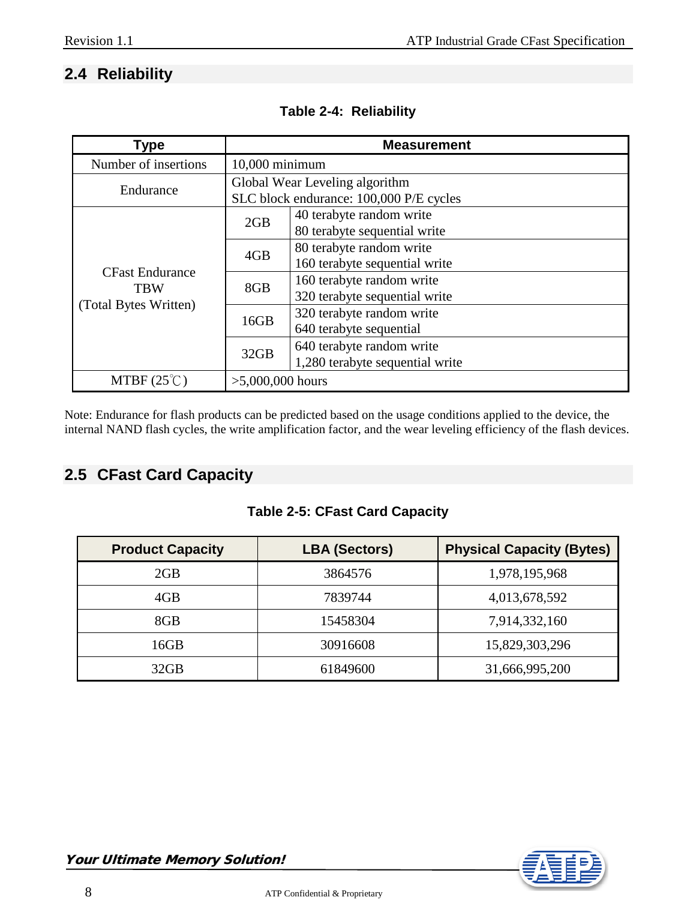# <span id="page-7-0"></span>**2.4 Reliability**

| Type                        | <b>Measurement</b> |                                         |  |  |
|-----------------------------|--------------------|-----------------------------------------|--|--|
| Number of insertions        | $10,000$ minimum   |                                         |  |  |
| Endurance                   |                    | Global Wear Leveling algorithm          |  |  |
|                             |                    | SLC block endurance: 100,000 P/E cycles |  |  |
|                             | 2GB                | 40 terabyte random write                |  |  |
|                             |                    | 80 terabyte sequential write            |  |  |
|                             | 4GB                | 80 terabyte random write                |  |  |
| <b>CFast Endurance</b>      |                    | 160 terabyte sequential write           |  |  |
| <b>TBW</b>                  | 8GB                | 160 terabyte random write               |  |  |
|                             |                    | 320 terabyte sequential write           |  |  |
| (Total Bytes Written)       | 16GB               | 320 terabyte random write               |  |  |
|                             |                    | 640 terabyte sequential                 |  |  |
|                             | 32GB               | 640 terabyte random write               |  |  |
|                             |                    | 1,280 terabyte sequential write         |  |  |
| MTBF $(25^{\circ}\text{C})$ | $>5,000,000$ hours |                                         |  |  |

#### **Table 2-4: Reliability**

Note: Endurance for flash products can be predicted based on the usage conditions applied to the device, the internal NAND flash cycles, the write amplification factor, and the wear leveling efficiency of the flash devices.

# <span id="page-7-1"></span>**2.5 CFast Card Capacity**

#### **Table 2-5: CFast Card Capacity**

| <b>Product Capacity</b> | <b>LBA (Sectors)</b> | <b>Physical Capacity (Bytes)</b> |
|-------------------------|----------------------|----------------------------------|
| 2GB                     | 3864576              | 1,978,195,968                    |
| 4GB                     | 7839744              | 4,013,678,592                    |
| 8GB                     | 15458304             | 7,914,332,160                    |
| 16GB                    | 30916608             | 15,829,303,296                   |
| 32GB                    | 61849600             | 31,666,995,200                   |

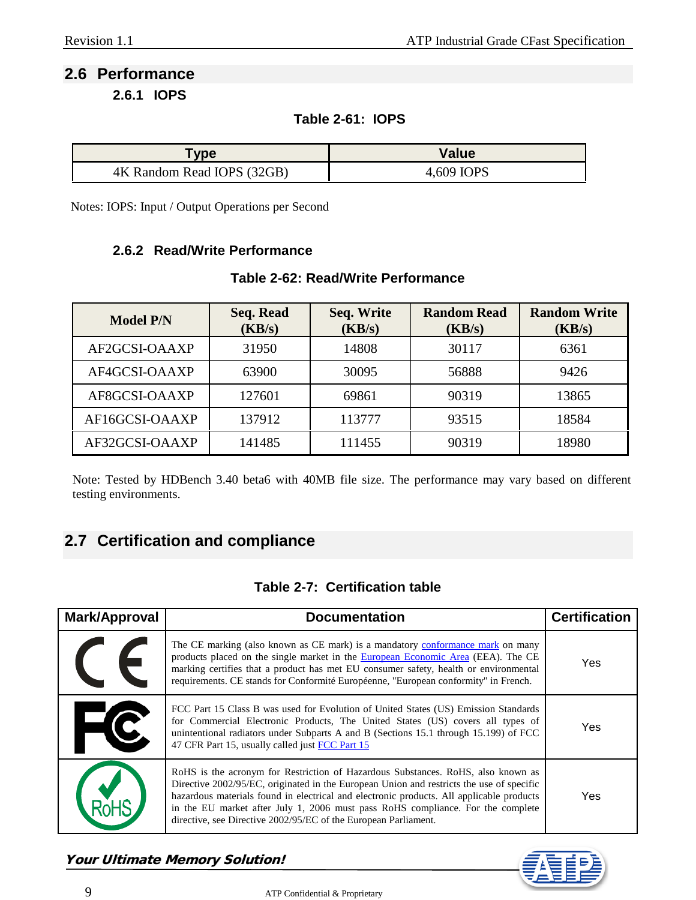# <span id="page-8-1"></span><span id="page-8-0"></span>**2.6 Performance**

**2.6.1 IOPS**

#### **Table 2-61: IOPS**

| <b>ype</b>                 | Value      |  |
|----------------------------|------------|--|
| 4K Random Read IOPS (32GB) | 4,609 IOPS |  |

<span id="page-8-2"></span>Notes: IOPS: Input / Output Operations per Second

#### **2.6.2 Read/Write Performance**

| <b>Model P/N</b> | Seq. Read<br>(KB/s) | Seq. Write<br>(KB/s) | <b>Random Read</b><br>(KB/s) | <b>Random Write</b><br>(KB/s) |
|------------------|---------------------|----------------------|------------------------------|-------------------------------|
| AF2GCSI-OAAXP    | 31950               | 14808                | 30117                        | 6361                          |
| AF4GCSI-OAAXP    | 63900               | 30095                | 56888                        | 9426                          |
| AF8GCSI-OAAXP    | 127601              | 69861                | 90319                        | 13865                         |
| AF16GCSI-OAAXP   | 137912              | 113777               | 93515                        | 18584                         |
| AF32GCSI-OAAXP   | 141485              | 111455               | 90319                        | 18980                         |

#### **Table 2-62: Read/Write Performance**

Note: Tested by HDBench 3.40 beta6 with 40MB file size. The performance may vary based on different testing environments.

# <span id="page-8-3"></span>**2.7 Certification and compliance**

#### **Table 2-7: Certification table**

| Mark/Approval | <b>Documentation</b>                                                                                                                                                                                                                                                                                                                                                                                                           | <b>Certification</b> |
|---------------|--------------------------------------------------------------------------------------------------------------------------------------------------------------------------------------------------------------------------------------------------------------------------------------------------------------------------------------------------------------------------------------------------------------------------------|----------------------|
|               | The CE marking (also known as CE mark) is a mandatory conformance mark on many<br>products placed on the single market in the European Economic Area (EEA). The CE<br>marking certifies that a product has met EU consumer safety, health or environmental<br>requirements. CE stands for Conformité Européenne, "European conformity" in French.                                                                              | Yes                  |
|               | FCC Part 15 Class B was used for Evolution of United States (US) Emission Standards<br>for Commercial Electronic Products, The United States (US) covers all types of<br>unintentional radiators under Subparts A and B (Sections 15.1 through 15.199) of FCC<br>47 CFR Part 15, usually called just FCC Part 15                                                                                                               | Yes                  |
|               | RoHS is the acronym for Restriction of Hazardous Substances. RoHS, also known as<br>Directive 2002/95/EC, originated in the European Union and restricts the use of specific<br>hazardous materials found in electrical and electronic products. All applicable products<br>in the EU market after July 1, 2006 must pass RoHS compliance. For the complete<br>directive, see Directive 2002/95/EC of the European Parliament. | Yes                  |



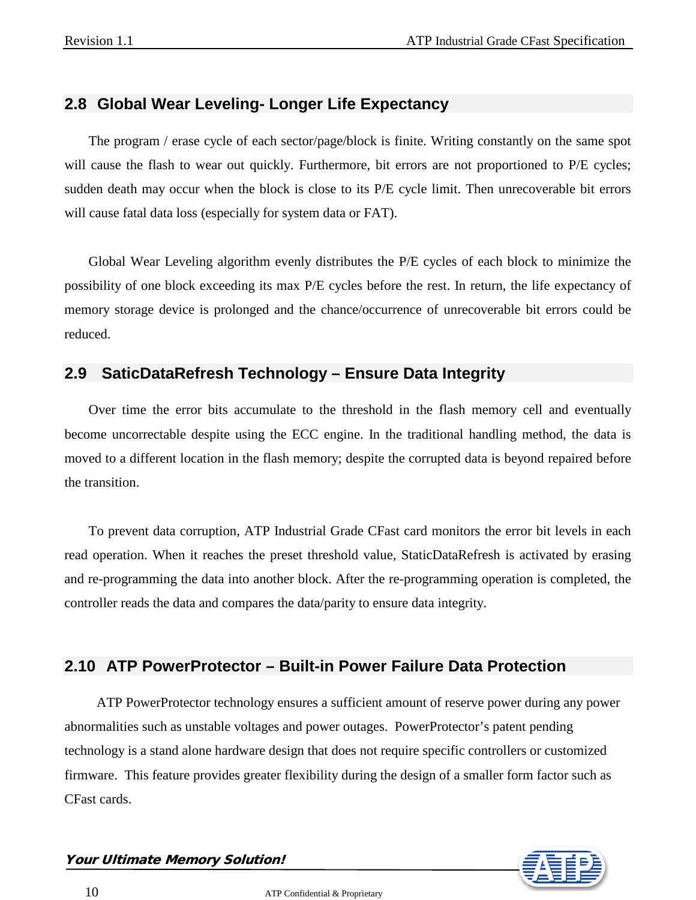#### <span id="page-9-0"></span>**2.8 Global Wear Leveling- Longer Life Expectancy**

The program / erase cycle of each sector/page/block is finite. Writing constantly on the same spot will cause the flash to wear out quickly. Furthermore, bit errors are not proportioned to P/E cycles; sudden death may occur when the block is close to its P/E cycle limit. Then unrecoverable bit errors will cause fatal data loss (especially for system data or FAT).

Global Wear Leveling algorithm evenly distributes the P/E cycles of each block to minimize the possibility of one block exceeding its max P/E cycles before the rest. In return, the life expectancy of memory storage device is prolonged and the chance/occurrence of unrecoverable bit errors could be reduced.

#### <span id="page-9-1"></span>**2.9 SaticDataRefresh Technology – Ensure Data Integrity**

Over time the error bits accumulate to the threshold in the flash memory cell and eventually become uncorrectable despite using the ECC engine. In the traditional handling method, the data is moved to a different location in the flash memory; despite the corrupted data is beyond repaired before the transition.

To prevent data corruption, ATP Industrial Grade CFast card monitors the error bit levels in each read operation. When it reaches the preset threshold value, StaticDataRefresh is activated by erasing and re-programming the data into another block. After the re-programming operation is completed, the controller reads the data and compares the data/parity to ensure data integrity.

# <span id="page-9-2"></span>**2.10 ATP PowerProtector – Built-in Power Failure Data Protection**

ATP PowerProtector technology ensures a sufficient amount of reserve power during any power abnormalities such as unstable voltages and power outages. PowerProtector's patent pending technology is a stand alone hardware design that does not require specific controllers or customized firmware. This feature provides greater flexibility during the design of a smaller form factor such as CFast cards.

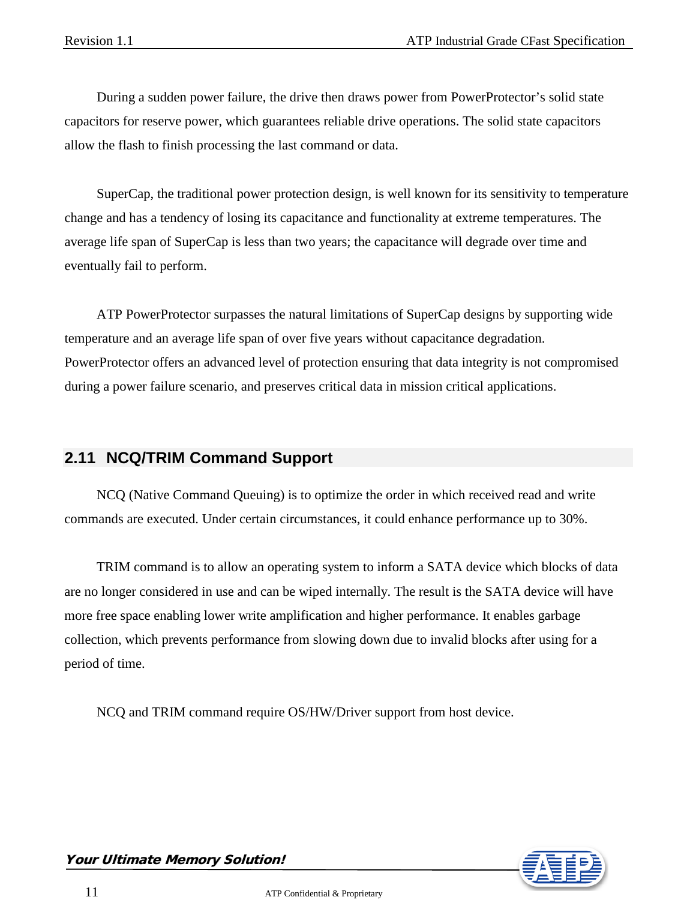During a sudden power failure, the drive then draws power from PowerProtector's solid state capacitors for reserve power, which guarantees reliable drive operations. The solid state capacitors allow the flash to finish processing the last command or data.

SuperCap, the traditional power protection design, is well known for its sensitivity to temperature change and has a tendency of losing its capacitance and functionality at extreme temperatures. The average life span of SuperCap is less than two years; the capacitance will degrade over time and eventually fail to perform.

ATP PowerProtector surpasses the natural limitations of SuperCap designs by supporting wide temperature and an average life span of over five years without capacitance degradation. PowerProtector offers an advanced level of protection ensuring that data integrity is not compromised during a power failure scenario, and preserves critical data in mission critical applications.

#### <span id="page-10-0"></span>**2.11 NCQ/TRIM Command Support**

NCQ (Native Command Queuing) is to optimize the order in which received read and write commands are executed. Under certain circumstances, it could enhance performance up to 30%.

TRIM command is to allow an operating system to inform a SATA device which blocks of data are no longer considered in use and can be wiped internally. The result is the SATA device will have more free space enabling lower write amplification and higher performance. It enables garbage collection, which prevents performance from slowing down due to invalid blocks after using for a period of time.

NCQ and TRIM command require OS/HW/Driver support from host device.

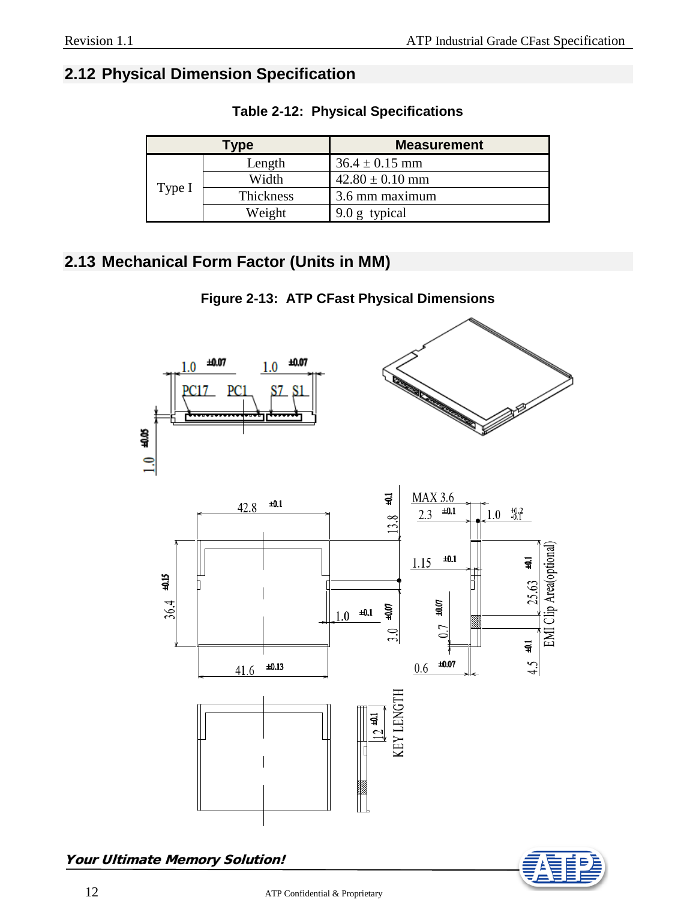### <span id="page-11-0"></span>**2.12 Physical Dimension Specification**

| Type   |           | <b>Measurement</b>  |  |
|--------|-----------|---------------------|--|
|        | Length    | $36.4 \pm 0.15$ mm  |  |
|        | Width     | $42.80 \pm 0.10$ mm |  |
| Type I | Thickness | 3.6 mm maximum      |  |
|        | Weight    | 9.0 g typical       |  |

**Table 2-12: Physical Specifications**

# <span id="page-11-1"></span>**2.13 Mechanical Form Factor (Units in MM)**

**Figure 2-13: ATP CFast Physical Dimensions**



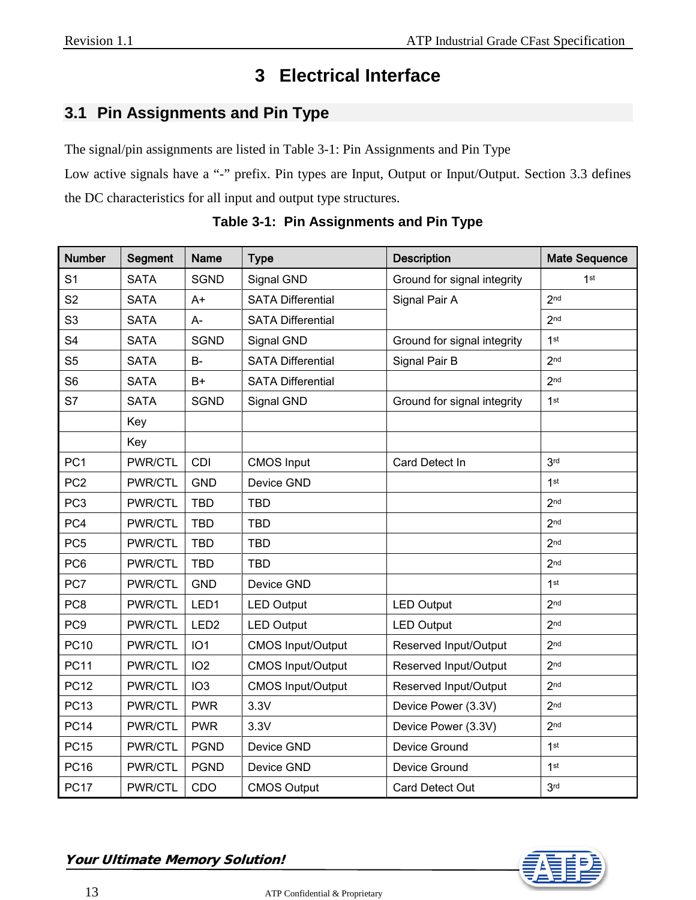# **3 Electrical Interface**

# <span id="page-12-1"></span><span id="page-12-0"></span>**3.1 Pin Assignments and Pin Type**

The signal/pin assignments are listed in Table 3-1: Pin Assignments and Pin Type

Low active signals have a "-" prefix. Pin types are Input, Output or Input/Output. Section 3.3 defines the DC characteristics for all input and output type structures.

| <b>Number</b>   | <b>Segment</b> | <b>Name</b>      | <b>Type</b>                               | <b>Description</b>          | <b>Mate Sequence</b> |
|-----------------|----------------|------------------|-------------------------------------------|-----------------------------|----------------------|
| S <sub>1</sub>  | <b>SATA</b>    | <b>SGND</b>      | Ground for signal integrity<br>Signal GND |                             | 1 <sup>st</sup>      |
| S <sub>2</sub>  | <b>SATA</b>    | $A+$             | <b>SATA Differential</b>                  | Signal Pair A               | 2 <sub>nd</sub>      |
| S <sub>3</sub>  | <b>SATA</b>    | A-               | <b>SATA Differential</b>                  |                             | 2 <sub>nd</sub>      |
| S <sub>4</sub>  | <b>SATA</b>    | <b>SGND</b>      | Signal GND                                | Ground for signal integrity | 1 <sup>st</sup>      |
| S <sub>5</sub>  | <b>SATA</b>    | <b>B-</b>        | <b>SATA Differential</b>                  | Signal Pair B               | 2 <sub>nd</sub>      |
| S <sub>6</sub>  | <b>SATA</b>    | $B+$             | <b>SATA Differential</b>                  |                             | 2 <sub>nd</sub>      |
| S7              | <b>SATA</b>    | <b>SGND</b>      | Signal GND                                | Ground for signal integrity | 1 <sup>st</sup>      |
|                 | Key            |                  |                                           |                             |                      |
|                 | Key            |                  |                                           |                             |                      |
| PC <sub>1</sub> | PWR/CTL        | CDI              | <b>CMOS Input</b>                         | Card Detect In              | 3 <sub>rd</sub>      |
| PC <sub>2</sub> | PWR/CTL        | <b>GND</b>       | Device GND                                |                             | 1st                  |
| PC <sub>3</sub> | PWR/CTL        | <b>TBD</b>       | <b>TBD</b>                                |                             | 2 <sub>nd</sub>      |
| PC4             | PWR/CTL        | <b>TBD</b>       | <b>TBD</b>                                |                             | 2 <sub>nd</sub>      |
| PC <sub>5</sub> | PWR/CTL        | <b>TBD</b>       | <b>TBD</b>                                |                             | 2 <sub>nd</sub>      |
| PC6             | PWR/CTL        | <b>TBD</b>       | <b>TBD</b>                                |                             | 2 <sub>nd</sub>      |
| PC7             | PWR/CTL        | <b>GND</b>       | Device GND                                |                             | 1 <sup>st</sup>      |
| PC <sub>8</sub> | PWR/CTL        | LED <sub>1</sub> | <b>LED Output</b>                         | <b>LED Output</b>           | 2 <sub>nd</sub>      |
| PC <sub>9</sub> | PWR/CTL        | LED <sub>2</sub> | <b>LED Output</b>                         | <b>LED Output</b>           | 2 <sub>nd</sub>      |
| <b>PC10</b>     | PWR/CTL        | IO <sub>1</sub>  | <b>CMOS Input/Output</b>                  | Reserved Input/Output       | 2 <sub>nd</sub>      |
| <b>PC11</b>     | PWR/CTL        | IO <sub>2</sub>  | <b>CMOS Input/Output</b>                  | Reserved Input/Output       | 2 <sub>nd</sub>      |
| <b>PC12</b>     | PWR/CTL        | IO <sub>3</sub>  | <b>CMOS Input/Output</b>                  | Reserved Input/Output       | 2 <sub>nd</sub>      |
| <b>PC13</b>     | PWR/CTL        | <b>PWR</b>       | 3.3V<br>Device Power (3.3V)               |                             | 2 <sub>nd</sub>      |
| <b>PC14</b>     | PWR/CTL        | <b>PWR</b>       | 3.3V                                      | Device Power (3.3V)         | 2 <sub>nd</sub>      |
| <b>PC15</b>     | PWR/CTL        | <b>PGND</b>      | Device GND                                | Device Ground               | 1st                  |
| <b>PC16</b>     | PWR/CTL        | <b>PGND</b>      | Device GND                                | Device Ground               | 1 <sup>st</sup>      |
| <b>PC17</b>     | PWR/CTL        | CDO              | <b>CMOS Output</b>                        | Card Detect Out             | 3 <sub>rd</sub>      |

**Table 3-1: Pin Assignments and Pin Type**

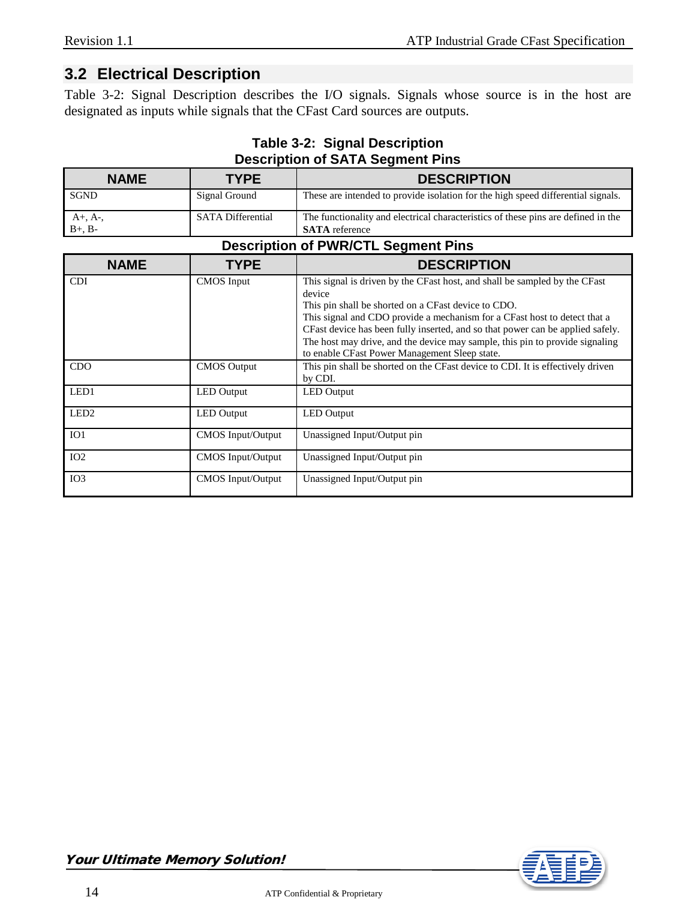#### <span id="page-13-0"></span>**3.2 Electrical Description**

Table 3-2: Signal Description describes the I/O signals. Signals whose source is in the host are designated as inputs while signals that the CFast Card sources are outputs.

| <b>Description of SATA Segment Pins</b> |                          |                                                                                                                                                                                                                                                                                                                                                                                                                                             |  |  |
|-----------------------------------------|--------------------------|---------------------------------------------------------------------------------------------------------------------------------------------------------------------------------------------------------------------------------------------------------------------------------------------------------------------------------------------------------------------------------------------------------------------------------------------|--|--|
| <b>NAME</b>                             | <b>TYPE</b>              | <b>DESCRIPTION</b>                                                                                                                                                                                                                                                                                                                                                                                                                          |  |  |
| <b>SGND</b>                             | Signal Ground            | These are intended to provide isolation for the high speed differential signals.                                                                                                                                                                                                                                                                                                                                                            |  |  |
| $A+, A-,$<br>$B+, B-$                   | <b>SATA Differential</b> | The functionality and electrical characteristics of these pins are defined in the<br><b>SATA</b> reference                                                                                                                                                                                                                                                                                                                                  |  |  |
|                                         |                          | <b>Description of PWR/CTL Segment Pins</b>                                                                                                                                                                                                                                                                                                                                                                                                  |  |  |
| <b>NAME</b>                             | <b>TYPE</b>              | <b>DESCRIPTION</b>                                                                                                                                                                                                                                                                                                                                                                                                                          |  |  |
| <b>CDI</b>                              | <b>CMOS</b> Input        | This signal is driven by the CFast host, and shall be sampled by the CFast<br>device<br>This pin shall be shorted on a CFast device to CDO.<br>This signal and CDO provide a mechanism for a CFast host to detect that a<br>CFast device has been fully inserted, and so that power can be applied safely.<br>The host may drive, and the device may sample, this pin to provide signaling<br>to enable CFast Power Management Sleep state. |  |  |
| <b>CDO</b>                              | <b>CMOS</b> Output       | This pin shall be shorted on the CFast device to CDI. It is effectively driven<br>by CDI.                                                                                                                                                                                                                                                                                                                                                   |  |  |
| LED1                                    | <b>LED</b> Output        | <b>LED</b> Output                                                                                                                                                                                                                                                                                                                                                                                                                           |  |  |
| LED <sub>2</sub>                        | <b>LED</b> Output        | <b>LED</b> Output                                                                                                                                                                                                                                                                                                                                                                                                                           |  |  |
| IO <sub>1</sub>                         | CMOS Input/Output        | Unassigned Input/Output pin                                                                                                                                                                                                                                                                                                                                                                                                                 |  |  |
| IO <sub>2</sub>                         | CMOS Input/Output        | Unassigned Input/Output pin                                                                                                                                                                                                                                                                                                                                                                                                                 |  |  |

IO3 CMOS Input/Output Unassigned Input/Output pin

# **Table 3-2: Signal Description**

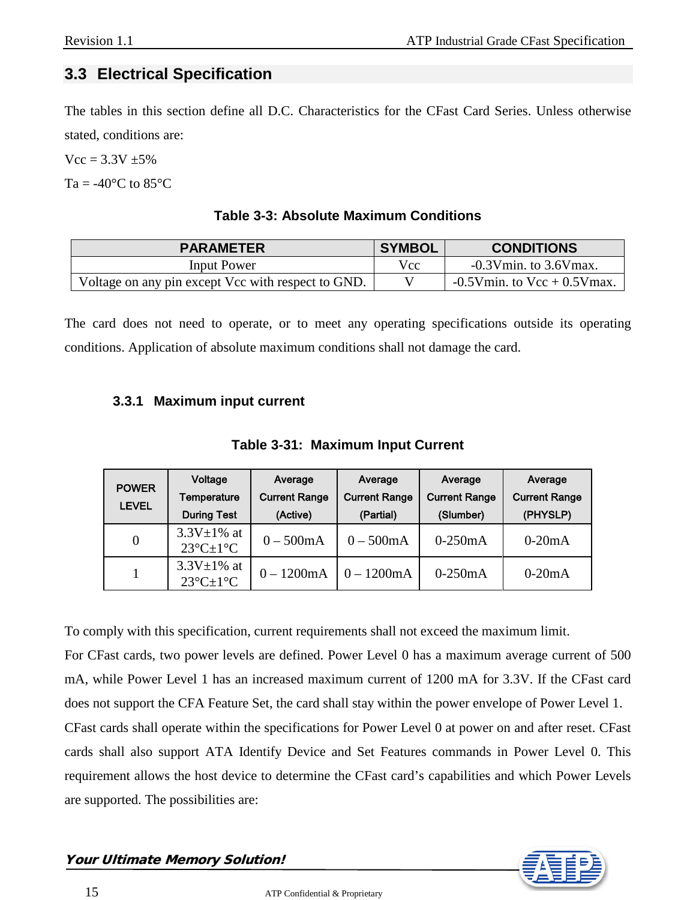# <span id="page-14-0"></span>**3.3 Electrical Specification**

The tables in this section define all D.C. Characteristics for the CFast Card Series. Unless otherwise stated, conditions are:

 $Vcc = 3.3V + 5\%$ 

Ta =  $-40^{\circ}$ C to 85 $^{\circ}$ C

#### **Table 3-3: Absolute Maximum Conditions**

| <b>PARAMETER</b>                                   | SYMBOL | <b>CONDITIONS</b>                 |
|----------------------------------------------------|--------|-----------------------------------|
| Input Power                                        | Vcc.   | $-0.3$ Vmin. to 3.6Vmax.          |
| Voltage on any pin except Vcc with respect to GND. |        | $-0.5V$ min. to $Vcc + 0.5V$ max. |

The card does not need to operate, or to meet any operating specifications outside its operating conditions. Application of absolute maximum conditions shall not damage the card.

#### <span id="page-14-1"></span>**3.3.1 Maximum input current**

|  |  | Table 3-31: Maximum Input Current |
|--|--|-----------------------------------|
|--|--|-----------------------------------|

| <b>POWER</b> | Voltage                                                    | Average              | Average              | Average              | Average              |
|--------------|------------------------------------------------------------|----------------------|----------------------|----------------------|----------------------|
| <b>LEVEL</b> | <b>Temperature</b>                                         | <b>Current Range</b> | <b>Current Range</b> | <b>Current Range</b> | <b>Current Range</b> |
|              | <b>During Test</b>                                         | (Active)             | (Partial)            | (Slumber)            | (PHYSLP)             |
| $\theta$     | $3.3V \pm 1\%$ at<br>$23^{\circ}$ C $\pm$ 1 <sup>°</sup> C | $0 - 500mA$          | $0 - 500mA$          | $0-250mA$            | $0-20mA$             |
|              | $3.3V \pm 1\%$ at<br>$23^{\circ}$ C $\pm$ 1°C              | $0 - 1200$ mA        | $0 - 1200$ mA        | $0-250mA$            | $0-20mA$             |

To comply with this specification, current requirements shall not exceed the maximum limit.

For CFast cards, two power levels are defined. Power Level 0 has a maximum average current of 500 mA, while Power Level 1 has an increased maximum current of 1200 mA for 3.3V. If the CFast card does not support the CFA Feature Set, the card shall stay within the power envelope of Power Level 1. CFast cards shall operate within the specifications for Power Level 0 at power on and after reset. CFast cards shall also support ATA Identify Device and Set Features commands in Power Level 0. This requirement allows the host device to determine the CFast card's capabilities and which Power Levels are supported. The possibilities are:

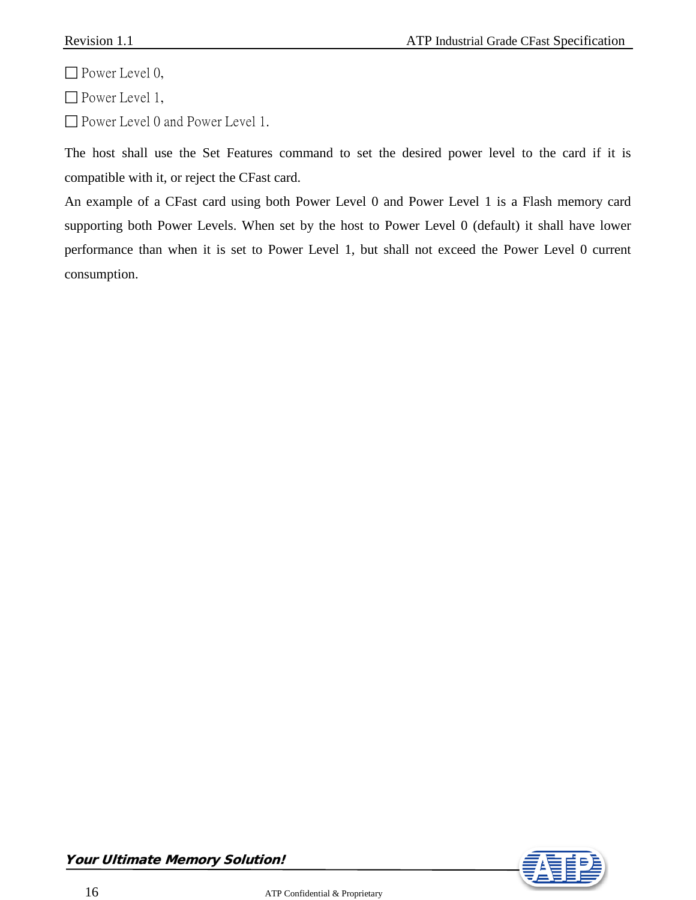$\Box$  Power Level 0,

□ Power Level 1,

□ Power Level 0 and Power Level 1.

The host shall use the Set Features command to set the desired power level to the card if it is compatible with it, or reject the CFast card.

An example of a CFast card using both Power Level 0 and Power Level 1 is a Flash memory card supporting both Power Levels. When set by the host to Power Level 0 (default) it shall have lower performance than when it is set to Power Level 1, but shall not exceed the Power Level 0 current consumption.



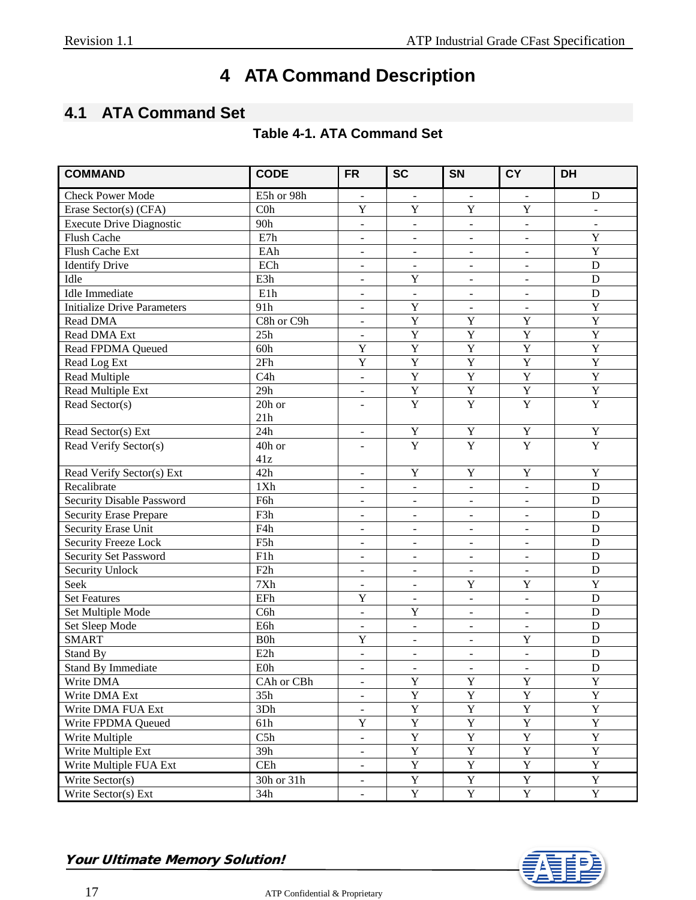# **4 ATA Command Description**

# <span id="page-16-1"></span><span id="page-16-0"></span>**4.1 ATA Command Set**

|  | <b>Table 4-1. ATA Command Set</b> |
|--|-----------------------------------|
|--|-----------------------------------|

| <b>COMMAND</b>                     | <b>CODE</b>      | <b>FR</b>                | <b>SC</b>                    | <b>SN</b>                | <b>CY</b>                | <b>DH</b>      |
|------------------------------------|------------------|--------------------------|------------------------------|--------------------------|--------------------------|----------------|
| <b>Check Power Mode</b>            | E5h or 98h       | $\blacksquare$           | $\blacksquare$               | $\blacksquare$           | $\blacksquare$           | D              |
| Erase Sector(s) (CFA)              | C <sub>0</sub> h | Y                        | Y                            | Y                        | Y                        | $\mathbf{r}$   |
| <b>Execute Drive Diagnostic</b>    | 90h              | $\overline{a}$           | $\blacksquare$               | $\mathbf{r}$             | $\bar{\phantom{a}}$      | $\blacksquare$ |
| Flush Cache                        | E7h              | $\overline{\phantom{a}}$ | $\overline{\phantom{a}}$     | $\equiv$                 | $\blacksquare$           | $\overline{Y}$ |
| Flush Cache Ext                    | EAh              | $\overline{a}$           | $\blacksquare$               | $\blacksquare$           | $\blacksquare$           | $\mathbf Y$    |
| <b>Identify Drive</b>              | ECh              | $\overline{a}$           | $\overline{\phantom{a}}$     | $\overline{\phantom{a}}$ | $\overline{\phantom{a}}$ | D              |
| Idle                               | E3h              | $\overline{a}$           | $\overline{Y}$               | $\overline{a}$           | $\Box$                   | $\mathbf D$    |
| <b>Idle</b> Immediate              | E1h              | $\blacksquare$           | $\Box$                       | $\blacksquare$           | $\overline{\phantom{a}}$ | $\mathbf D$    |
| <b>Initialize Drive Parameters</b> | 91h              | $\frac{1}{2}$            | Y                            | $\overline{a}$           | $\overline{a}$           | $\overline{Y}$ |
| Read DMA                           | C8h or C9h       | $\frac{1}{2}$            | $\overline{Y}$               | $\overline{Y}$           | $\overline{Y}$           | $\overline{Y}$ |
| Read DMA Ext                       | 25h              | $\overline{\phantom{a}}$ | $\overline{Y}$               | $\overline{Y}$           | $\overline{Y}$           | $\overline{Y}$ |
| <b>Read FPDMA Queued</b>           | 60h              | $\mathbf Y$              | $\overline{Y}$               | $\overline{Y}$           | Y                        | $\overline{Y}$ |
| Read Log Ext                       | 2Fh              | $\overline{\text{Y}}$    | $\overline{Y}$               | $\overline{Y}$           | $\overline{Y}$           | $\overline{Y}$ |
| Read Multiple                      | C4h              | $\overline{\phantom{a}}$ | $\overline{Y}$               | $\overline{Y}$           | $\overline{Y}$           | $\overline{Y}$ |
| Read Multiple Ext                  | 29h              | $\overline{\phantom{m}}$ | $\overline{\textbf{Y}}$      | $\overline{Y}$           | $\overline{Y}$           | Y              |
| Read Sector(s)                     | 20h or           | $\blacksquare$           | $\overline{Y}$               | $\overline{Y}$           | $\overline{Y}$           | $\overline{Y}$ |
|                                    | 21h              |                          |                              |                          |                          |                |
| Read Sector(s) Ext                 | 24h              | $\overline{\phantom{a}}$ | $\mathbf Y$                  | Y                        | $\mathbf Y$              | $\mathbf Y$    |
| Read Verify Sector(s)              | 40h or           | $\blacksquare$           | $\overline{Y}$               | $\overline{Y}$           | $\overline{Y}$           | $\overline{Y}$ |
|                                    | 41z              |                          |                              |                          |                          |                |
| Read Verify Sector(s) Ext          | 42h              | $\overline{\phantom{a}}$ | $\mathbf Y$                  | $\mathbf Y$              | Y                        | $\mathbf Y$    |
| Recalibrate                        | 1Xh              | $\overline{\phantom{a}}$ | $\overline{\phantom{a}}$     | $\overline{a}$           | $\blacksquare$           | $\mathbf D$    |
| Security Disable Password          | F6h              | $\frac{1}{2}$            | $\qquad \qquad \blacksquare$ | $\overline{\phantom{0}}$ | $\frac{1}{2}$            | ${\bf D}$      |
| <b>Security Erase Prepare</b>      | F3h              | $\blacksquare$           | $\overline{\phantom{a}}$     | $\blacksquare$           | $\overline{\phantom{a}}$ | D              |
| Security Erase Unit                | F4h              | $\blacksquare$           | $\overline{\phantom{a}}$     | $\blacksquare$           | $\overline{\phantom{a}}$ | D              |
| Security Freeze Lock               | F5h              | $\blacksquare$           | $\blacksquare$               | $\blacksquare$           | $\blacksquare$           | $\mathbf D$    |
| <b>Security Set Password</b>       | F1h              | $\blacksquare$           | $\blacksquare$               | $\blacksquare$           | $\overline{\phantom{a}}$ | D              |
| Security Unlock                    | F2h              | $\blacksquare$           | $\blacksquare$               | $\blacksquare$           | $\blacksquare$           | D              |
| Seek                               | 7Xh              | $\blacksquare$           | $\mathbf{r}$                 | $\mathbf Y$              | Y                        | $\mathbf Y$    |
| <b>Set Features</b>                | EFh              | $\mathbf Y$              | $\mathbf{r}$                 | $\equiv$                 | $\equiv$                 | D              |
| Set Multiple Mode                  | C6h              | $\equiv$                 | Y                            | $\blacksquare$           | $\overline{\phantom{a}}$ | D              |
| Set Sleep Mode                     | E6h              | $\overline{\phantom{0}}$ | $\overline{a}$               | $\mathbf{r}$             | $\blacksquare$           | D              |
| <b>SMART</b>                       | B0h              | $\mathbf Y$              | $\equiv$                     | $\blacksquare$           | $\mathbf Y$              | ${\bf D}$      |
| Stand By                           | E <sub>2</sub> h | $\equiv$                 | $\overline{\phantom{a}}$     | $\blacksquare$           | $\blacksquare$           | D              |
| <b>Stand By Immediate</b>          | E0h              | $\overline{\phantom{a}}$ | $\overline{\phantom{a}}$     | $\blacksquare$           | $\overline{\phantom{a}}$ | D              |
| Write DMA                          | CAh or CBh       | $\blacksquare$           | Y                            | $\mathbf Y$              | $\mathbf Y$              | Y              |
| Write DMA Ext                      | 35h              | $\blacksquare$           | $\overline{\mathrm{Y}}$      | $\overline{Y}$           | $\overline{Y}$           | $\overline{Y}$ |
| Write DMA FUA Ext                  | 3Dh              | $\overline{\phantom{a}}$ | $\mathbf{Y}$                 | $\mathbf{Y}$             | $\mathbf Y$              | Y              |
| Write FPDMA Queued                 | 61h              | $\overline{Y}$           | $\overline{Y}$               | $\overline{Y}$           | $\overline{Y}$           | $\overline{Y}$ |
| Write Multiple                     | C5h              | $\blacksquare$           | $\mathbf{Y}$                 | $\mathbf Y$              | $\mathbf Y$              | $\overline{Y}$ |
| Write Multiple Ext                 | 39h              | $\blacksquare$           | $\mathbf Y$                  | $\mathbf Y$              | $\mathbf Y$              | $\mathbf Y$    |
| Write Multiple FUA Ext             | CEh              | $\overline{\phantom{a}}$ | $\overline{Y}$               | $\overline{Y}$           | $\overline{Y}$           | $\overline{Y}$ |
| Write Sector(s)                    | 30h or 31h       | $\frac{1}{2}$            | $\mathbf Y$                  | $\mathbf Y$              | Y                        | $\mathbf Y$    |
| Write Sector(s) Ext                | 34h              | $\blacksquare$           | $\overline{Y}$               | $\overline{Y}$           | $\mathbf Y$              | $\overline{Y}$ |



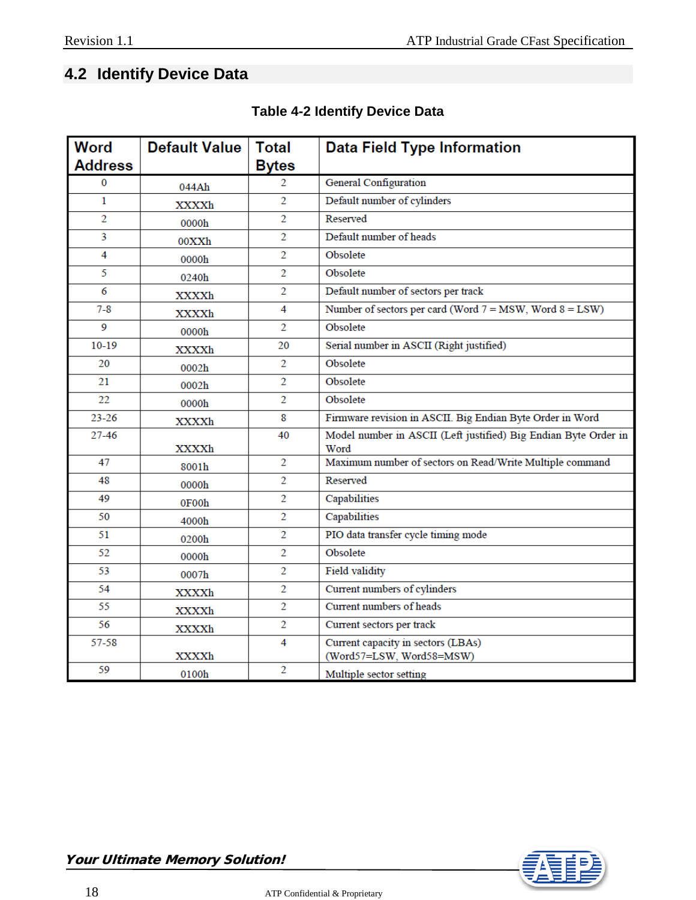# <span id="page-17-0"></span>**4.2 Identify Device Data**

| <b>Word</b>    | <b>Default Value</b> | <b>Total</b>   | <b>Data Field Type Information</b>                                      |
|----------------|----------------------|----------------|-------------------------------------------------------------------------|
| <b>Address</b> |                      | Bytes          |                                                                         |
| 0              | 044Ah                | 2              | General Configuration                                                   |
| $\mathbf{1}$   | XXXXh                | $\overline{2}$ | Default number of cylinders                                             |
| $\overline{2}$ | 0000h                | $\overline{2}$ | Reserved                                                                |
| 3              | 00XXh                | 2              | Default number of heads                                                 |
| 4              | 0000h                | $\overline{2}$ | Obsolete                                                                |
| 5              | 0240h                | $\overline{2}$ | Obsolete                                                                |
| 6              | XXXXh                | 2              | Default number of sectors per track                                     |
| $7 - 8$        | XXXXh                | 4              | Number of sectors per card (Word $7 = MSW$ , Word $8 = LSW$ )           |
| 9              | 0000h                | 2              | Obsolete                                                                |
| $10-19$        | XXXXh                | 20             | Serial number in ASCII (Right justified)                                |
| 20             | 0002h                | 2              | Obsolete                                                                |
| 21             | 0002h                | $\overline{2}$ | Obsolete                                                                |
| 22             | 0000h                | $\overline{2}$ | Obsolete                                                                |
| $23 - 26$      | XXXXh                | 8              | Firmware revision in ASCII. Big Endian Byte Order in Word               |
| 27-46          | XXXXh                | 40             | Model number in ASCII (Left justified) Big Endian Byte Order in<br>Word |
| 47             | 8001h                | $\overline{2}$ | Maximum number of sectors on Read/Write Multiple command                |
| 48             | 0000h                | 2              | Reserved                                                                |
| 49             | 0F00h                | 2              | Capabilities                                                            |
| 50             | 4000h                | 2              | Capabilities                                                            |
| 51             | 0200h                | 2              | PIO data transfer cycle timing mode                                     |
| 52             | 0000h                | 2              | Obsolete                                                                |
| 53             | 0007h                | $\overline{2}$ | <b>Field validity</b>                                                   |
| 54             | XXXXh                | $\overline{2}$ | Current numbers of cylinders                                            |
| 55             | XXXXh                | $\overline{2}$ | Current numbers of heads                                                |
| 56             | XXXXh                | $\overline{2}$ | Current sectors per track                                               |
| 57-58          | XXXXh                | 4              | Current capacity in sectors (LBAs)<br>(Word57=LSW, Word58=MSW)          |
| 59             | 0100h                | $\overline{2}$ | Multiple sector setting                                                 |

#### **Table 4-2 Identify Device Data**

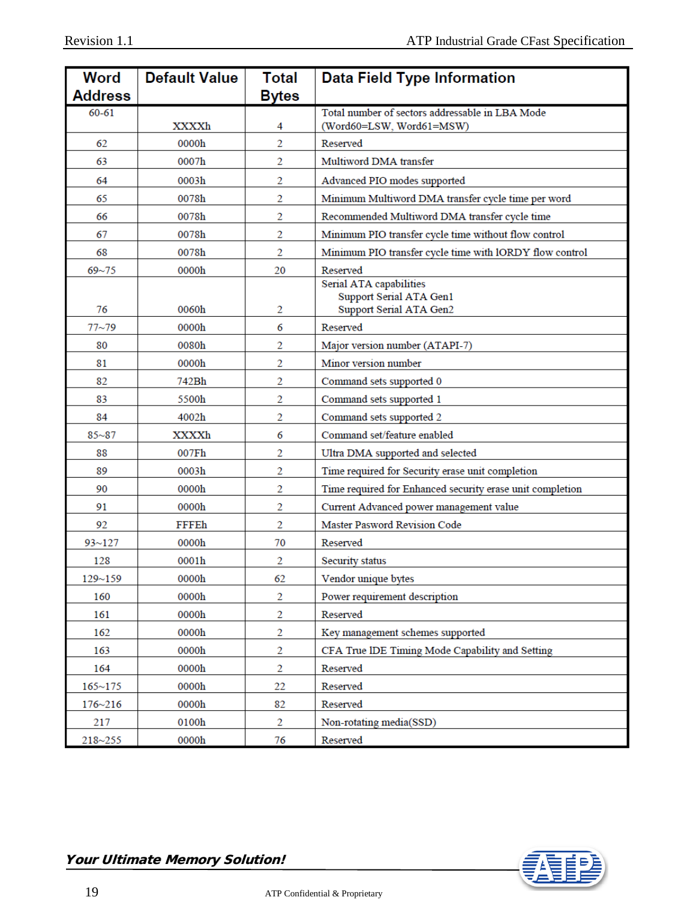| Word           | <b>Default Value</b> | <b>Total</b>   | <b>Data Field Type Information</b>                        |  |
|----------------|----------------------|----------------|-----------------------------------------------------------|--|
| <b>Address</b> |                      | <b>Bytes</b>   |                                                           |  |
| $60 - 61$      |                      |                | Total number of sectors addressable in LBA Mode           |  |
|                | XXXXh                | 4              | (Word60=LSW, Word61=MSW)<br>Reserved                      |  |
| 62             | 0000h                | 2              |                                                           |  |
| 63             | 0007h                | 2              | Multiword DMA transfer                                    |  |
| 64             | 0003h                | 2              | Advanced PIO modes supported                              |  |
| 65             | 0078h                | 2              | Minimum Multiword DMA transfer cycle time per word        |  |
| 66             | 0078h                | 2              | Recommended Multiword DMA transfer cycle time             |  |
| 67             | 0078h                | 2              | Minimum PIO transfer cycle time without flow control      |  |
| 68             | 0078h                | 2              | Minimum PIO transfer cycle time with lORDY flow control   |  |
| $69 - 75$      | 0000h                | 20             | Reserved                                                  |  |
|                |                      |                | Serial ATA capabilities<br>Support Serial ATA Gen1        |  |
| 76             | 0060h                | 2              | Support Serial ATA Gen2                                   |  |
| $77 - 79$      | 0000h                | 6              | Reserved                                                  |  |
| 80             | 0080h                | 2              | Major version number (ATAPI-7)                            |  |
| 81             | 0000h                | 2              | Minor version number                                      |  |
| 82             | 742Bh                | 2              | Command sets supported 0                                  |  |
| 83             | 5500h                | 2              | Command sets supported 1                                  |  |
| 84             | 4002h                | 2              | Command sets supported 2                                  |  |
| $85 - 87$      | XXXXh                | 6              | Command set/feature enabled                               |  |
| 88             | 007Fh                | 2              | Ultra DMA supported and selected                          |  |
| 89             | 0003h                | 2              | Time required for Security erase unit completion          |  |
| 90             | 0000h                | 2              | Time required for Enhanced security erase unit completion |  |
| 91             | 0000h                | 2              | Current Advanced power management value                   |  |
| 92             | FFFEh                | 2              | <b>Master Pasword Revision Code</b>                       |  |
| $93 - 127$     | 0000h                | 70             | Reserved                                                  |  |
| 128            | 0001h                | 2              | Security status                                           |  |
| 129~159        | 0000h                | 62             | Vendor unique bytes                                       |  |
| 160            | 0000h                | 2              | Power requirement description                             |  |
| 161            | 0000h                | 2              | Reserved                                                  |  |
| 162            | 0000h                | $\overline{c}$ | Key management schemes supported                          |  |
| 163            | 0000h                | $\overline{c}$ | CFA True IDE Timing Mode Capability and Setting           |  |
| 164            | 0000h                | $\overline{2}$ | Reserved                                                  |  |
| $165 - 175$    | 0000h                | 22             | Reserved                                                  |  |
| $176 - 216$    | 0000h                | 82             | Reserved                                                  |  |
| 217            | 0100h                | $\overline{2}$ | Non-rotating media(SSD)                                   |  |
| 218~255        | 0000h                | 76             | Reserved                                                  |  |

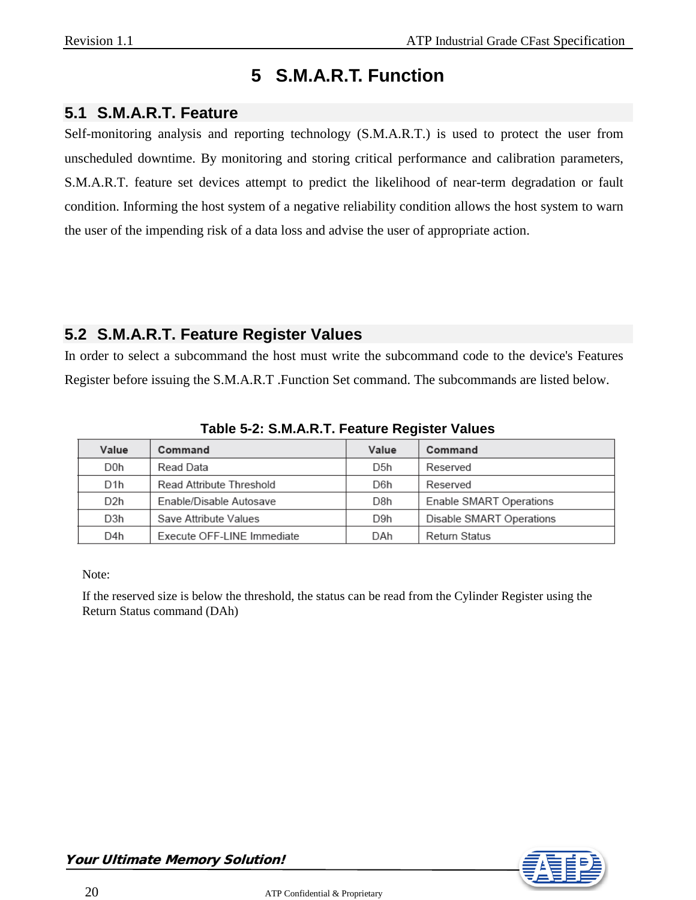# **5 S.M.A.R.T. Function**

#### <span id="page-19-1"></span><span id="page-19-0"></span>**5.1 S.M.A.R.T. Feature**

Self-monitoring analysis and reporting technology (S.M.A.R.T.) is used to protect the user from unscheduled downtime. By monitoring and storing critical performance and calibration parameters, S.M.A.R.T. feature set devices attempt to predict the likelihood of near-term degradation or fault condition. Informing the host system of a negative reliability condition allows the host system to warn the user of the impending risk of a data loss and advise the user of appropriate action.

#### <span id="page-19-2"></span>**5.2 S.M.A.R.T. Feature Register Values**

In order to select a subcommand the host must write the subcommand code to the device's Features Register before issuing the S.M.A.R.T .Function Set command. The subcommands are listed below.

| Value            | Command                    | Value            | Command                  |
|------------------|----------------------------|------------------|--------------------------|
| D0h              | Read Data                  | D <sub>5</sub> h | Reserved                 |
| D1h              | Read Attribute Threshold   | D6h              | Reserved                 |
| D <sub>2</sub> h | Enable/Disable Autosave    | D8h              | Enable SMART Operations  |
| D3h              | Save Attribute Values      | D9h              | Disable SMART Operations |
| D4h              | Execute OFF-LINE Immediate | DAh              | <b>Return Status</b>     |

**Table 5-2: S.M.A.R.T. Feature Register Values**

Note:

If the reserved size is below the threshold, the status can be read from the Cylinder Register using the Return Status command (DAh)

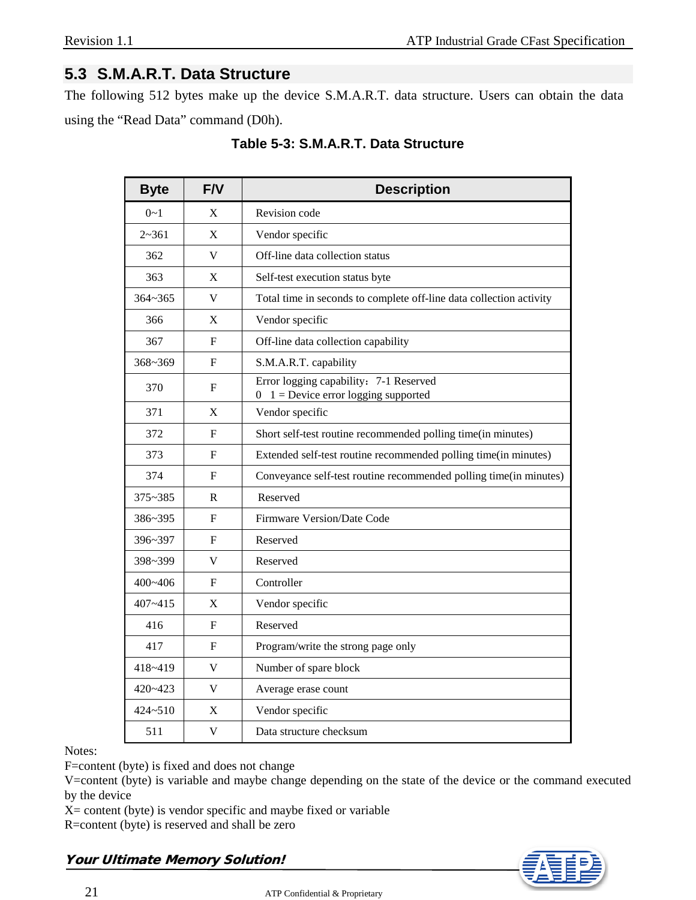#### <span id="page-20-0"></span>**5.3 S.M.A.R.T. Data Structure**

The following 512 bytes make up the device S.M.A.R.T. data structure. Users can obtain the data using the "Read Data" command (D0h).

| <b>Byte</b> | F/V | <b>Description</b>                                                                  |  |
|-------------|-----|-------------------------------------------------------------------------------------|--|
| $0 - 1$     | X   | Revision code                                                                       |  |
| $2 - 361$   | X   | Vendor specific                                                                     |  |
| 362         | V   | Off-line data collection status                                                     |  |
| 363         | X   | Self-test execution status byte                                                     |  |
| $364 - 365$ | V   | Total time in seconds to complete off-line data collection activity                 |  |
| 366         | X   | Vendor specific                                                                     |  |
| 367         | F   | Off-line data collection capability                                                 |  |
| 368~369     | F   | S.M.A.R.T. capability                                                               |  |
| 370         | F   | Error logging capability: 7-1 Reserved<br>$1 =$ Device error logging supported<br>0 |  |
| 371         | X   | Vendor specific                                                                     |  |
| 372         | F   | Short self-test routine recommended polling time(in minutes)                        |  |
| 373         | F   | Extended self-test routine recommended polling time(in minutes)                     |  |
| 374         | F   | Conveyance self-test routine recommended polling time(in minutes)                   |  |
| 375~385     | R   | Reserved                                                                            |  |
| 386~395     | F   | Firmware Version/Date Code                                                          |  |
| 396~397     | F   | Reserved                                                                            |  |
| 398~399     | V   | Reserved                                                                            |  |
| 400~406     | F   | Controller                                                                          |  |
| $407 - 415$ | X   | Vendor specific                                                                     |  |
| 416         | F   | Reserved                                                                            |  |
| 417         | F   | Program/write the strong page only                                                  |  |
| 418~419     | V   | Number of spare block                                                               |  |
| $420 - 423$ | V   | Average erase count                                                                 |  |
| $424 - 510$ | X   | Vendor specific                                                                     |  |
| 511         | V   | Data structure checksum                                                             |  |

**Table 5-3: S.M.A.R.T. Data Structure**

Notes:

F=content (byte) is fixed and does not change

V=content (byte) is variable and maybe change depending on the state of the device or the command executed by the device

 $X =$  content (byte) is vendor specific and maybe fixed or variable

R=content (byte) is reserved and shall be zero

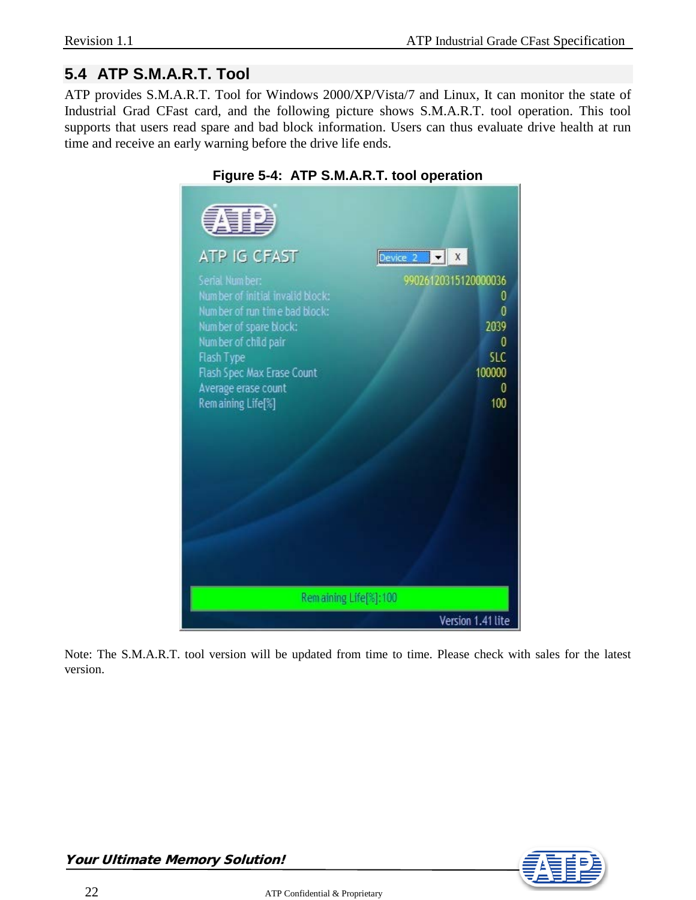# <span id="page-21-0"></span>**5.4 ATP S.M.A.R.T. Tool**

ATP provides S.M.A.R.T. Tool for Windows 2000/XP/Vista/7 and Linux, It can monitor the state of Industrial Grad CFast card, and the following picture shows S.M.A.R.T. tool operation. This tool supports that users read spare and bad block information. Users can thus evaluate drive health at run time and receive an early warning before the drive life ends.

| 朝望<br>ATP IG CFAST<br>Serial Number:<br>Number of initial invalid block:<br>Number of run time bad block:<br>Number of spare block:<br>Number of child pair<br>Flash Type<br>Flash Spec Max Erase Count<br>Average erase count<br>Remaining Life[%] | Device $2 \times  X $<br>99026120315120000036<br>0<br>0<br>2039<br>$\boldsymbol{0}$<br><b>SLC</b><br>100000<br>0<br>100 |  |  |  |
|-----------------------------------------------------------------------------------------------------------------------------------------------------------------------------------------------------------------------------------------------------|-------------------------------------------------------------------------------------------------------------------------|--|--|--|
| Remaining Life[%]: 100                                                                                                                                                                                                                              |                                                                                                                         |  |  |  |
| Version 1.41 lite                                                                                                                                                                                                                                   |                                                                                                                         |  |  |  |

#### **Figure 5-4: ATP S.M.A.R.T. tool operation**

Note: The S.M.A.R.T. tool version will be updated from time to time. Please check with sales for the latest version.